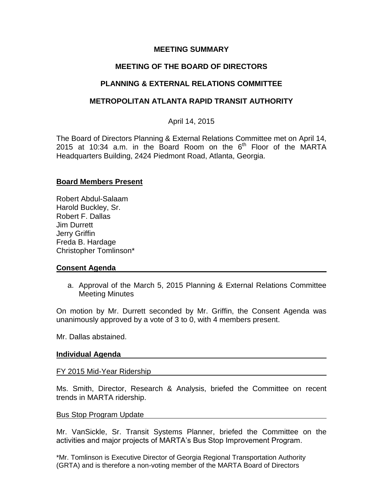### **MEETING SUMMARY**

# **MEETING OF THE BOARD OF DIRECTORS**

# **PLANNING & EXTERNAL RELATIONS COMMITTEE**

## **METROPOLITAN ATLANTA RAPID TRANSIT AUTHORITY**

### April 14, 2015

The Board of Directors Planning & External Relations Committee met on April 14, 2015 at 10:34 a.m. in the Board Room on the  $6<sup>th</sup>$  Floor of the MARTA Headquarters Building, 2424 Piedmont Road, Atlanta, Georgia.

### **Board Members Present**

Robert Abdul-Salaam Harold Buckley, Sr. Robert F. Dallas Jim Durrett Jerry Griffin Freda B. Hardage Christopher Tomlinson\*

### **Consent Agenda**

a. Approval of the March 5, 2015 Planning & External Relations Committee Meeting Minutes

On motion by Mr. Durrett seconded by Mr. Griffin, the Consent Agenda was unanimously approved by a vote of 3 to 0, with 4 members present.

Mr. Dallas abstained.

#### **Individual Agenda**

#### FY 2015 Mid-Year Ridership

Ms. Smith, Director, Research & Analysis, briefed the Committee on recent trends in MARTA ridership.

#### Bus Stop Program Update

Mr. VanSickle, Sr. Transit Systems Planner, briefed the Committee on the activities and major projects of MARTA's Bus Stop Improvement Program.

\*Mr. Tomlinson is Executive Director of Georgia Regional Transportation Authority (GRTA) and is therefore a non-voting member of the MARTA Board of Directors